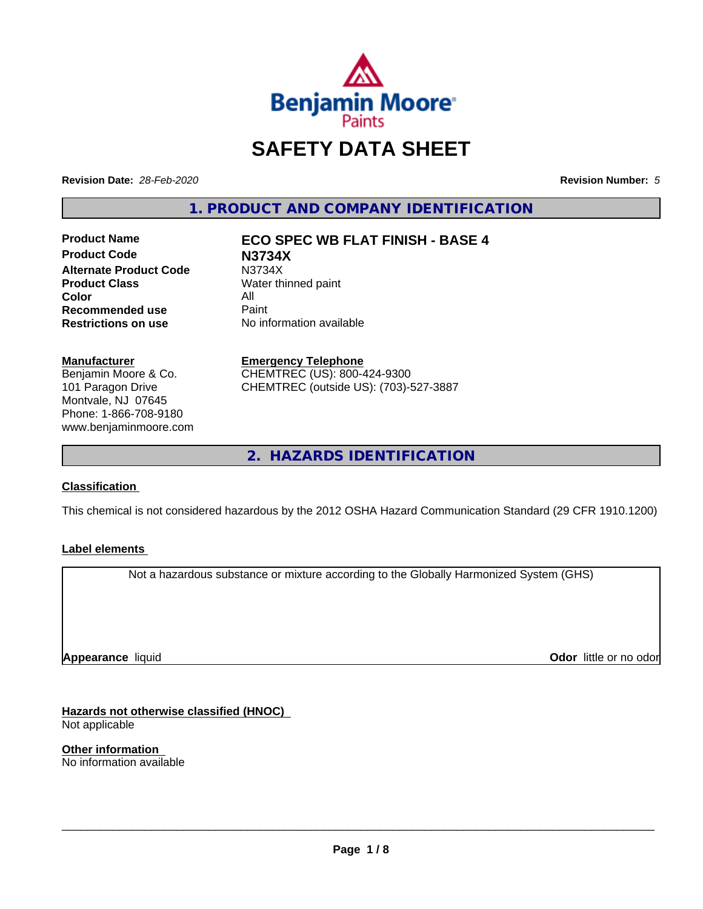

# **SAFETY DATA SHEET**

**Revision Date:** *28-Feb-2020* **Revision Number:** *5*

**1. PRODUCT AND COMPANY IDENTIFICATION**

**Product Code N3734X Alternate Product Code M3734X**<br>**Product Class Mater th** Water th **Color** All<br> **Recommended use** Paint **Recommended use**<br>Restrictions on use

# **Product Name ECO SPEC WB FLAT FINISH - BASE 4**

**Water thinned paint No information available** 

# **Manufacturer**

Benjamin Moore & Co. 101 Paragon Drive Montvale, NJ 07645 Phone: 1-866-708-9180 www.benjaminmoore.com

# **Emergency Telephone**

CHEMTREC (US): 800-424-9300 CHEMTREC (outside US): (703)-527-3887

**2. HAZARDS IDENTIFICATION**

# **Classification**

This chemical is not considered hazardous by the 2012 OSHA Hazard Communication Standard (29 CFR 1910.1200)

# **Label elements**

Not a hazardous substance or mixture according to the Globally Harmonized System (GHS)

**Appearance** liquid

**Odor** little or no odor

**Hazards not otherwise classified (HNOC)** Not applicable

**Other information** No information available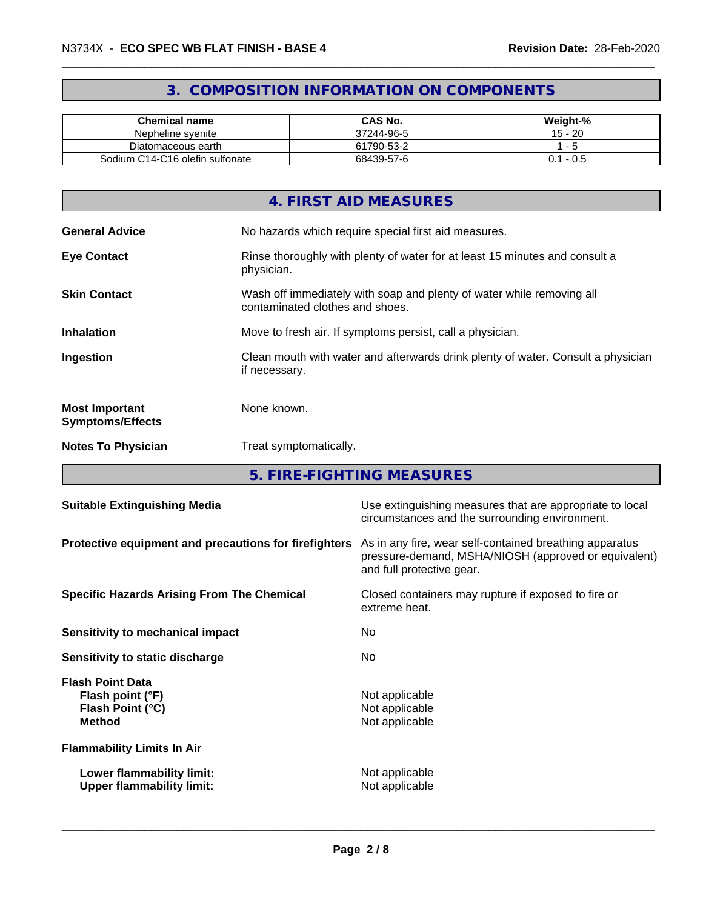# **3. COMPOSITION INFORMATION ON COMPONENTS**

| <b>Chemical name</b>            | CAS No.    | Weight-%     |
|---------------------------------|------------|--------------|
| Nepheline svenite               | 37244-96-5 | 20<br>$15 -$ |
| Diatomaceous earth              | 61790-53-2 |              |
| Sodium C14-C16 olefin sulfonate | 68439-57-6 | - U.S<br>J.  |

|                                                  | 4. FIRST AID MEASURES                                                                                    |
|--------------------------------------------------|----------------------------------------------------------------------------------------------------------|
| <b>General Advice</b>                            | No hazards which require special first aid measures.                                                     |
| <b>Eye Contact</b>                               | Rinse thoroughly with plenty of water for at least 15 minutes and consult a<br>physician.                |
| <b>Skin Contact</b>                              | Wash off immediately with soap and plenty of water while removing all<br>contaminated clothes and shoes. |
| <b>Inhalation</b>                                | Move to fresh air. If symptoms persist, call a physician.                                                |
| Ingestion                                        | Clean mouth with water and afterwards drink plenty of water. Consult a physician<br>if necessary.        |
| <b>Most Important</b><br><b>Symptoms/Effects</b> | None known.                                                                                              |
| <b>Notes To Physician</b>                        | Treat symptomatically.                                                                                   |
|                                                  |                                                                                                          |

**5. FIRE-FIGHTING MEASURES**

| <b>Suitable Extinguishing Media</b>                                              | Use extinguishing measures that are appropriate to local<br>circumstances and the surrounding environment.                                   |
|----------------------------------------------------------------------------------|----------------------------------------------------------------------------------------------------------------------------------------------|
| Protective equipment and precautions for firefighters                            | As in any fire, wear self-contained breathing apparatus<br>pressure-demand, MSHA/NIOSH (approved or equivalent)<br>and full protective gear. |
| <b>Specific Hazards Arising From The Chemical</b>                                | Closed containers may rupture if exposed to fire or<br>extreme heat.                                                                         |
| Sensitivity to mechanical impact                                                 | No.                                                                                                                                          |
| Sensitivity to static discharge                                                  | No.                                                                                                                                          |
| <b>Flash Point Data</b><br>Flash point (°F)<br>Flash Point (°C)<br><b>Method</b> | Not applicable<br>Not applicable<br>Not applicable                                                                                           |
| <b>Flammability Limits In Air</b>                                                |                                                                                                                                              |
| Lower flammability limit:<br><b>Upper flammability limit:</b>                    | Not applicable<br>Not applicable                                                                                                             |
|                                                                                  |                                                                                                                                              |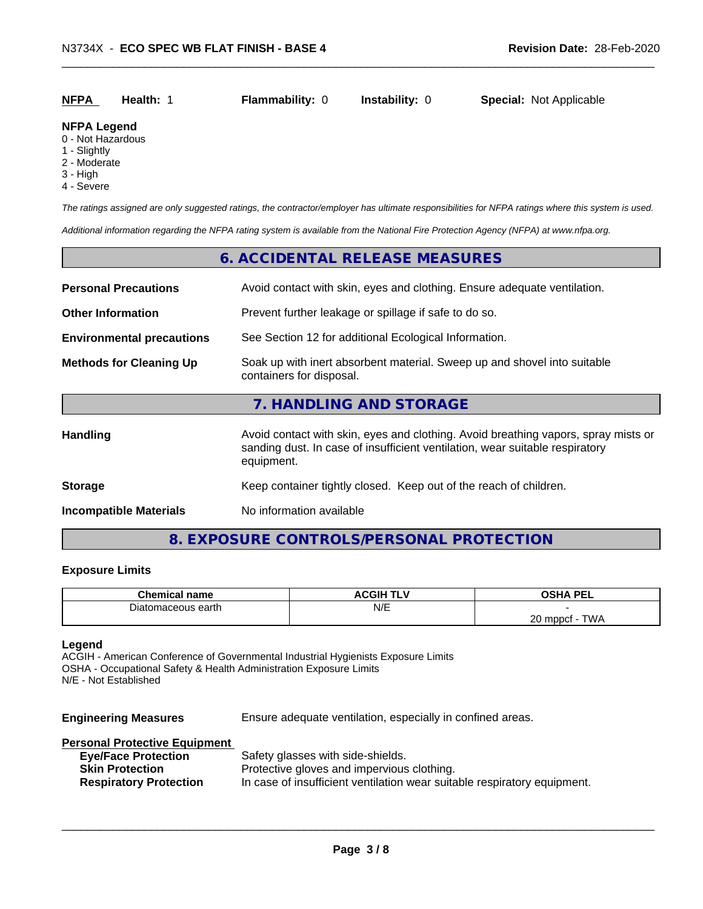| <b>NFPA</b> | Health: | <b>Flammability: 0</b> | <b>Instability: 0</b> | <b>Special: Not Applicable</b> |  |
|-------------|---------|------------------------|-----------------------|--------------------------------|--|
|             |         |                        |                       |                                |  |

## **NFPA Legend**

- 0 Not Hazardous
- 1 Slightly
- 2 Moderate
- 3 High
- 4 Severe

*The ratings assigned are only suggested ratings, the contractor/employer has ultimate responsibilities for NFPA ratings where this system is used.*

*Additional information regarding the NFPA rating system is available from the National Fire Protection Agency (NFPA) at www.nfpa.org.*

# **6. ACCIDENTAL RELEASE MEASURES Personal Precautions** Avoid contact with skin, eyes and clothing. Ensure adequate ventilation.

**Other Information** Prevent further leakage or spillage if safe to do so. **Environmental precautions** See Section 12 for additional Ecological Information. **Methods for Cleaning Up** Soak up with inert absorbent material. Sweep up and shovel into suitable containers for disposal. **7. HANDLING AND STORAGE** Handling **Handling** Avoid contact with skin, eyes and clothing. Avoid breathing vapors, spray mists or sanding dust. In case of insufficient ventilation, wear suitable respiratory equipment. **Storage Storage Keep container tightly closed. Keep out of the reach of children. Incompatible Materials** No information available

# **8. EXPOSURE CONTROLS/PERSONAL PROTECTION**

# **Exposure Limits**

| Chemir<br>, name                       | . .<br>JGIP.<br>. .<br>∼ | <b>OCUA DEI</b><br>--                                |
|----------------------------------------|--------------------------|------------------------------------------------------|
| earth<br>$\mathbf{v}$<br>ceous<br>-11. | N/E                      |                                                      |
|                                        |                          | $\sim$<br><b>TIMA</b><br>mnnet<br>∼<br><b>VV</b><br> |

# **Legend**

ACGIH - American Conference of Governmental Industrial Hygienists Exposure Limits OSHA - Occupational Safety & Health Administration Exposure Limits N/E - Not Established

**Engineering Measures** Ensure adequate ventilation, especially in confined areas. **Personal Protective Equipment Eye/Face Protection** Safety glasses with side-shields.

| Lycli acc Fiblic Color        | <u>Calcty grasses</u> with slue-shields.                                 |
|-------------------------------|--------------------------------------------------------------------------|
| <b>Skin Protection</b>        | Protective gloves and impervious clothing.                               |
| <b>Respiratory Protection</b> | In case of insufficient ventilation wear suitable respiratory equipment. |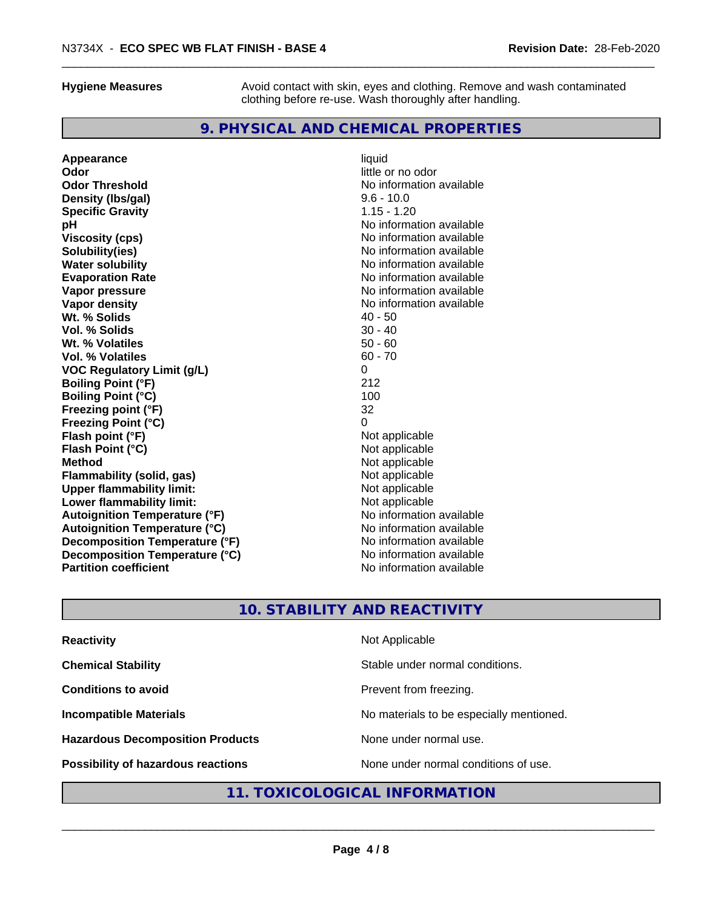**Hygiene Measures** Avoid contact with skin, eyes and clothing. Remove and wash contaminated clothing before re-use. Wash thoroughly after handling.

# **9. PHYSICAL AND CHEMICAL PROPERTIES**

**Appearance** liquid **Odor** little or no odor **Odor Threshold No information available** No information available **Density (Ibs/gal)** 9.6 - 10.0<br> **Specific Gravity** 3.15 - 1.20 **Specific Gravity pH pH**  $\blacksquare$ **Viscosity (cps)** No information available **Solubility(ies)**<br> **No information available**<br> **Water solubility**<br> **Water solubility Water solubility**<br> **Evaporation Rate**<br> **Evaporation Rate**<br> **Evaporation Rate Vapor pressure** No information available **Vapor density**<br> **We Solids**<br>
We Solid Wi, % Solids
2019 **Wt. % Solids Vol. % Solids** 30 - 40 **Wt. % Volatiles** 50 - 60 **Vol. % Volatiles VOC Regulatory Limit (g/L)** 0 **Boiling Point (°F)** 212 **Boiling Point (°C)** 100 **Freezing point (°F)** 32 **Freezing Point (°C) Flash point (°F)**<br> **Flash Point (°C)**<br> **Flash Point (°C)**<br> **Compare Server All Alta Annual Mothematic Not applicable Flash Point (°C) Method** Not applicable **Flammability (solid, gas)** Not applicable **Upper flammability limit:**<br> **Lower flammability limit:** Not applicable Not applicable **Lower flammability limit: Autoignition Temperature (°F)** No information available **Autoignition Temperature (°C)**<br> **Decomposition Temperature (°F)** Moinformation available **Decomposition Temperature (°F) Decomposition Temperature (°C)** No information available<br> **Partition coefficient Partition available Partition coefficient** 

**Evaporation Rate** No information available

# **10. STABILITY AND REACTIVITY**

| <b>Reactivity</b>                       | Not Applicable                           |
|-----------------------------------------|------------------------------------------|
| <b>Chemical Stability</b>               | Stable under normal conditions.          |
| <b>Conditions to avoid</b>              | Prevent from freezing.                   |
| <b>Incompatible Materials</b>           | No materials to be especially mentioned. |
| <b>Hazardous Decomposition Products</b> | None under normal use.                   |
| Possibility of hazardous reactions      | None under normal conditions of use.     |

# **11. TOXICOLOGICAL INFORMATION**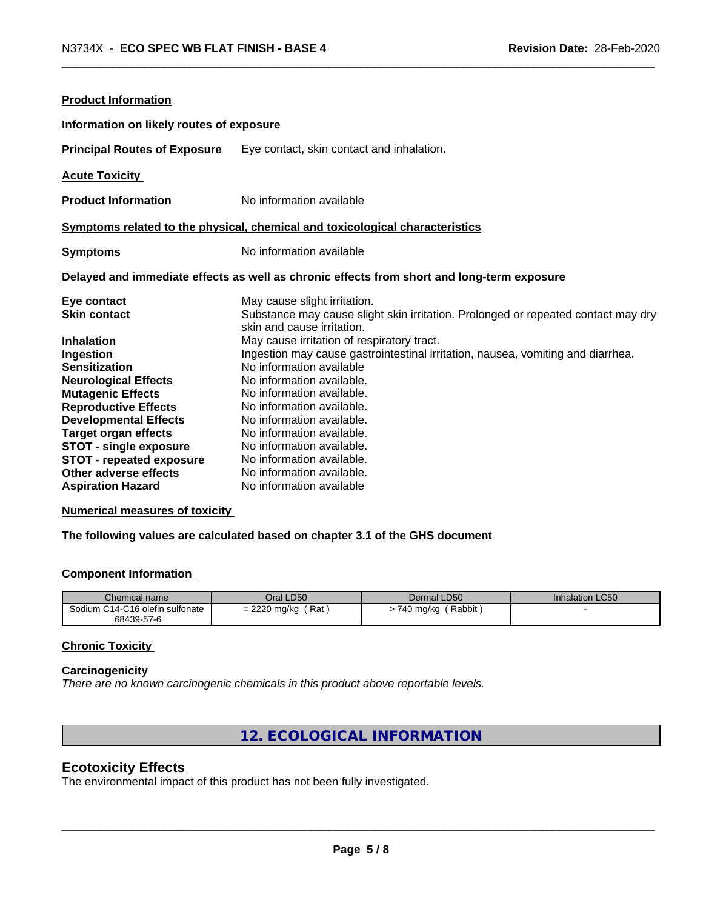| <b>Product Information</b>               |                                                                                            |
|------------------------------------------|--------------------------------------------------------------------------------------------|
| Information on likely routes of exposure |                                                                                            |
| <b>Principal Routes of Exposure</b>      | Eye contact, skin contact and inhalation.                                                  |
| <b>Acute Toxicity</b>                    |                                                                                            |
| <b>Product Information</b>               | No information available                                                                   |
|                                          | Symptoms related to the physical, chemical and toxicological characteristics               |
| <b>Symptoms</b>                          | No information available                                                                   |
|                                          | Delayed and immediate effects as well as chronic effects from short and long-term exposure |
| Eye contact                              | May cause slight irritation.                                                               |
| <b>Skin contact</b>                      | Substance may cause slight skin irritation. Prolonged or repeated contact may dry          |
|                                          | skin and cause irritation.                                                                 |
| <b>Inhalation</b>                        | May cause irritation of respiratory tract.                                                 |
| Ingestion                                | Ingestion may cause gastrointestinal irritation, nausea, vomiting and diarrhea.            |
| <b>Sensitization</b>                     | No information available                                                                   |
| <b>Neurological Effects</b>              | No information available.                                                                  |
| <b>Mutagenic Effects</b>                 | No information available.                                                                  |
| <b>Reproductive Effects</b>              | No information available.                                                                  |
| <b>Developmental Effects</b>             | No information available.                                                                  |
| <b>Target organ effects</b>              | No information available.                                                                  |
| <b>STOT - single exposure</b>            | No information available.                                                                  |
| <b>STOT - repeated exposure</b>          | No information available.                                                                  |
| Other adverse effects                    | No information available.                                                                  |
| <b>Aspiration Hazard</b>                 | No information available                                                                   |

**Numerical measures of toxicity**

**The following values are calculated based on chapter 3.1 of the GHS document**

# **Component Information**

| Chemical name                   | Oral LD50                    | Dermal LD50 | Inhalation LC50 |
|---------------------------------|------------------------------|-------------|-----------------|
| Sodium C14-C16 olefin sulfonate | ƙat                          | Rabbit      |                 |
| 68439-57-6                      | $= 2220$ mg/kg $\frac{1}{2}$ | 740 mg/kg   |                 |

# **Chronic Toxicity**

# **Carcinogenicity**

*There are no known carcinogenic chemicals in this product above reportable levels.*

**12. ECOLOGICAL INFORMATION**

# **Ecotoxicity Effects**

The environmental impact of this product has not been fully investigated.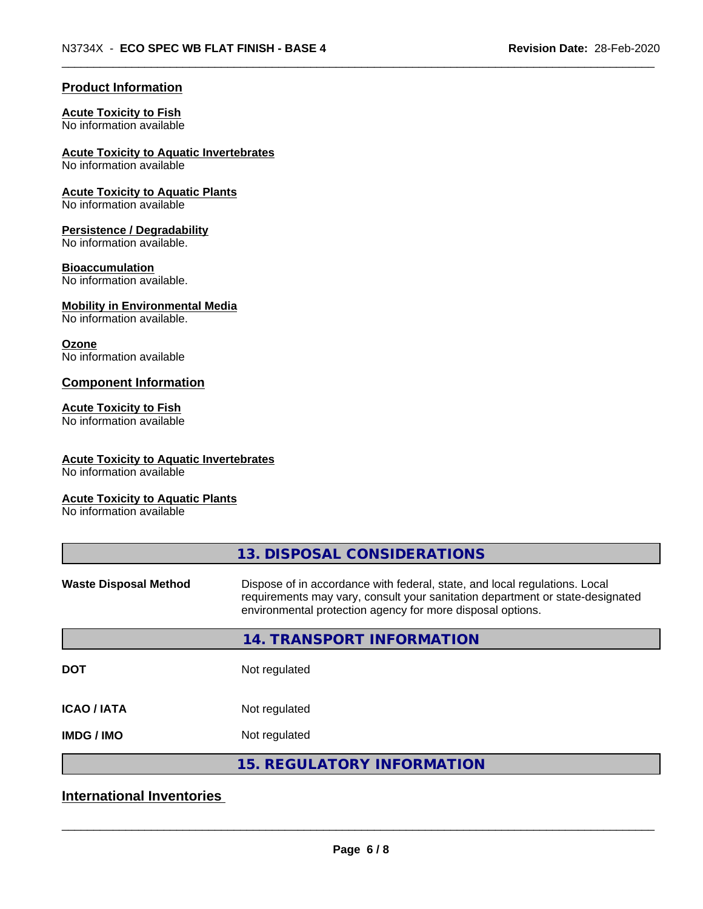# **Product Information**

# **Acute Toxicity to Fish**

No information available

**Acute Toxicity to Aquatic Invertebrates**

No information available

**Acute Toxicity to Aquatic Plants** No information available

# **Persistence / Degradability**

No information available.

# **Bioaccumulation**

No information available.

# **Mobility in Environmental Media**

No information available.

## **Ozone**

No information available

# **Component Information**

## **Acute Toxicity to Fish**

No information available

# **Acute Toxicity to Aquatic Invertebrates**

No information available

# **Acute Toxicity to Aquatic Plants**

No information available

|                              | 13. DISPOSAL CONSIDERATIONS                                                                                                                                                                                               |
|------------------------------|---------------------------------------------------------------------------------------------------------------------------------------------------------------------------------------------------------------------------|
| <b>Waste Disposal Method</b> | Dispose of in accordance with federal, state, and local regulations. Local<br>requirements may vary, consult your sanitation department or state-designated<br>environmental protection agency for more disposal options. |
|                              | 14. TRANSPORT INFORMATION                                                                                                                                                                                                 |
| <b>DOT</b>                   | Not regulated                                                                                                                                                                                                             |
| <b>ICAO/IATA</b>             | Not regulated                                                                                                                                                                                                             |
| <b>IMDG/IMO</b>              | Not regulated                                                                                                                                                                                                             |
|                              | <b>15. REGULATORY INFORMATION</b>                                                                                                                                                                                         |
|                              |                                                                                                                                                                                                                           |

# **International Inventories**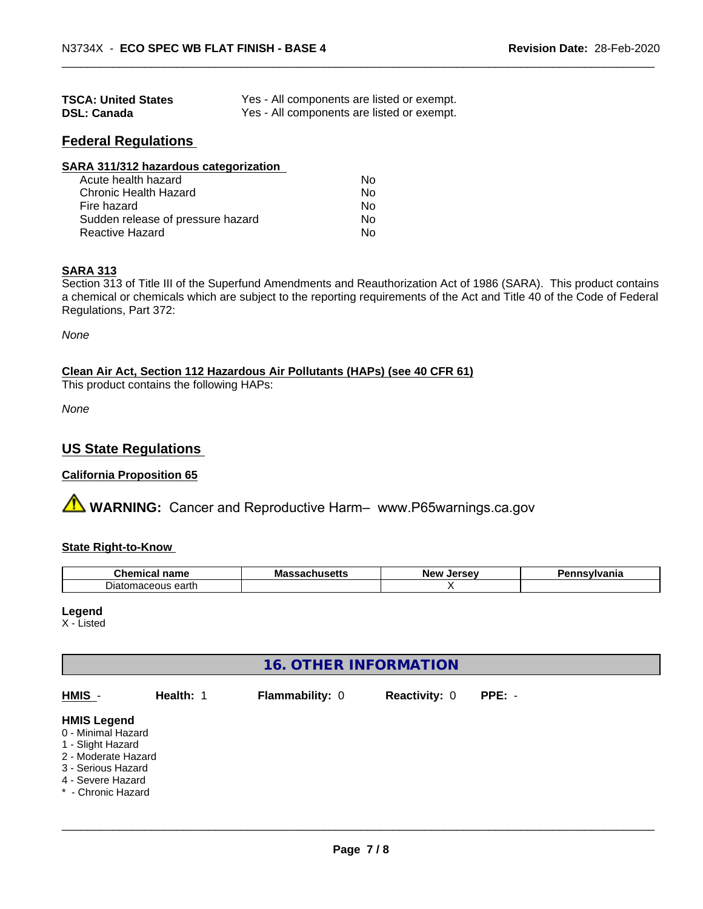| <b>TSCA: United States</b> | Yes - All components are listed or exempt. |
|----------------------------|--------------------------------------------|
| <b>DSL: Canada</b>         | Yes - All components are listed or exempt. |

# **Federal Regulations**

| SARA 311/312 hazardous categorization |    |  |
|---------------------------------------|----|--|
| Acute health hazard                   | Nο |  |
| Chronic Health Hazard                 | No |  |
| Fire hazard                           | Nο |  |
| Sudden release of pressure hazard     | No |  |
| Reactive Hazard                       | No |  |

## **SARA 313**

Section 313 of Title III of the Superfund Amendments and Reauthorization Act of 1986 (SARA). This product contains a chemical or chemicals which are subject to the reporting requirements of the Act and Title 40 of the Code of Federal Regulations, Part 372:

*None*

**Clean Air Act,Section 112 Hazardous Air Pollutants (HAPs) (see 40 CFR 61)**

This product contains the following HAPs:

*None*

# **US State Regulations**

# **California Proposition 65**

**AVIMARNING:** Cancer and Reproductive Harm– www.P65warnings.ca.gov

# **State Right-to-Know**

| $\sim$<br>hemical<br>--<br><b>COMPASS</b><br>name<br>u | Ma:<br>30 V<br>nustus | I<br>Ne۱<br>ים<br><br>.se | าsvlvania<br>. |
|--------------------------------------------------------|-----------------------|---------------------------|----------------|
| earth<br>. Jiat′<br>0.0000110<br>morr<br>'iaceous'     |                       |                           |                |

#### **Legend**

X - Listed

# **16. OTHER INFORMATION**

| HMIS -                                                                                                                          | Health: 1 | <b>Flammability: 0</b> | <b>Reactivity: 0</b> | $PPE: -$ |  |
|---------------------------------------------------------------------------------------------------------------------------------|-----------|------------------------|----------------------|----------|--|
| <b>HMIS Legend</b><br>0 - Minimal Hazard<br>1 - Slight Hazard<br>2 - Moderate Hazard<br>3 - Serious Hazard<br>4 - Severe Hazard |           |                        |                      |          |  |
| * - Chronic Hazard                                                                                                              |           |                        |                      |          |  |